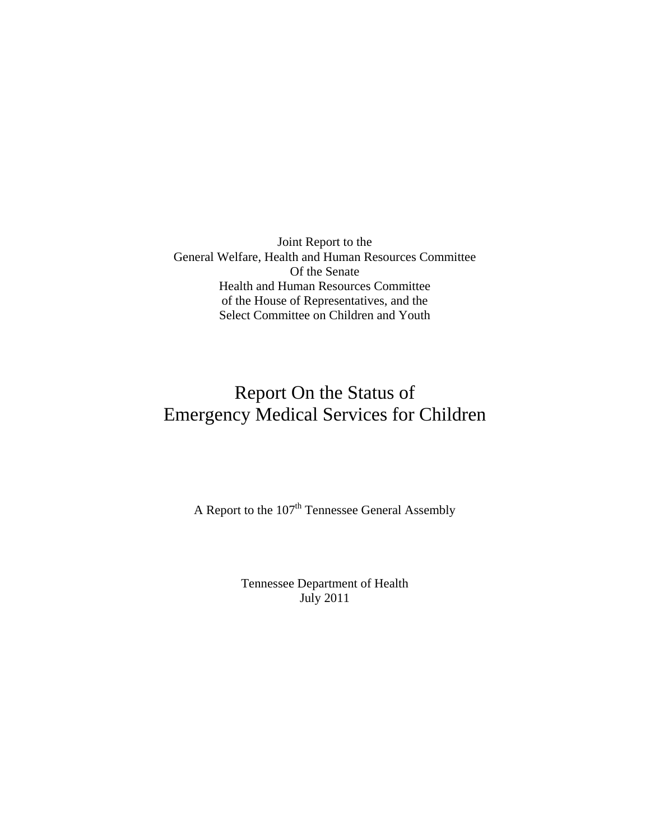Joint Report to the General Welfare, Health and Human Resources Committee Of the Senate Health and Human Resources Committee of the House of Representatives, and the Select Committee on Children and Youth

# Report On the Status of Emergency Medical Services for Children

A Report to the  $107<sup>th</sup>$  Tennessee General Assembly

Tennessee Department of Health July 2011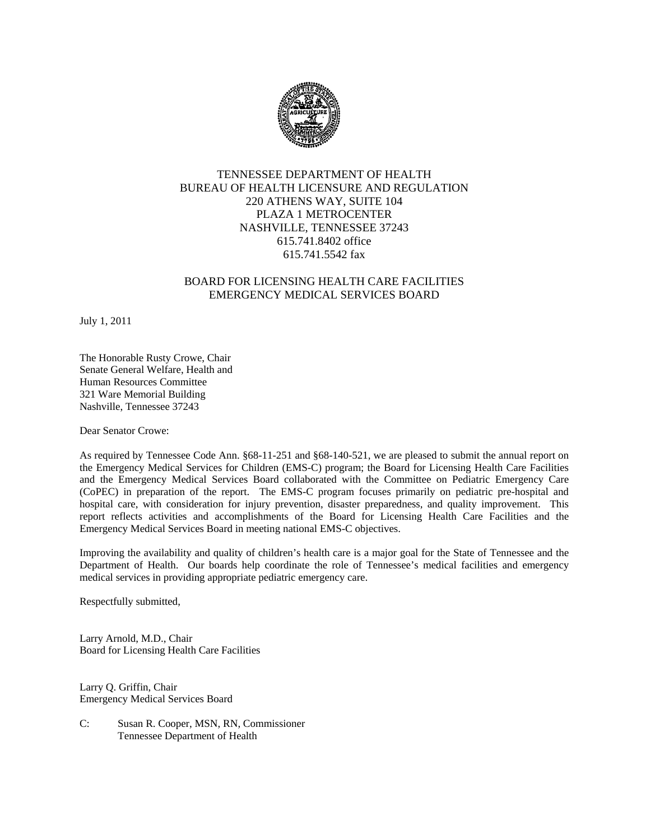

#### TENNESSEE DEPARTMENT OF HEALTH BUREAU OF HEALTH LICENSURE AND REGULATION 220 ATHENS WAY, SUITE 104 PLAZA 1 METROCENTER NASHVILLE, TENNESSEE 37243 615.741.8402 office 615.741.5542 fax

#### BOARD FOR LICENSING HEALTH CARE FACILITIES EMERGENCY MEDICAL SERVICES BOARD

July 1, 2011

The Honorable Rusty Crowe, Chair Senate General Welfare, Health and Human Resources Committee 321 Ware Memorial Building Nashville, Tennessee 37243

Dear Senator Crowe:

As required by Tennessee Code Ann. §68-11-251 and §68-140-521, we are pleased to submit the annual report on the Emergency Medical Services for Children (EMS-C) program; the Board for Licensing Health Care Facilities and the Emergency Medical Services Board collaborated with the Committee on Pediatric Emergency Care (CoPEC) in preparation of the report. The EMS-C program focuses primarily on pediatric pre-hospital and hospital care, with consideration for injury prevention, disaster preparedness, and quality improvement. This report reflects activities and accomplishments of the Board for Licensing Health Care Facilities and the Emergency Medical Services Board in meeting national EMS-C objectives.

Improving the availability and quality of children's health care is a major goal for the State of Tennessee and the Department of Health. Our boards help coordinate the role of Tennessee's medical facilities and emergency medical services in providing appropriate pediatric emergency care.

Respectfully submitted,

Larry Arnold, M.D., Chair Board for Licensing Health Care Facilities

Larry Q. Griffin, Chair Emergency Medical Services Board

C: Susan R. Cooper, MSN, RN, Commissioner Tennessee Department of Health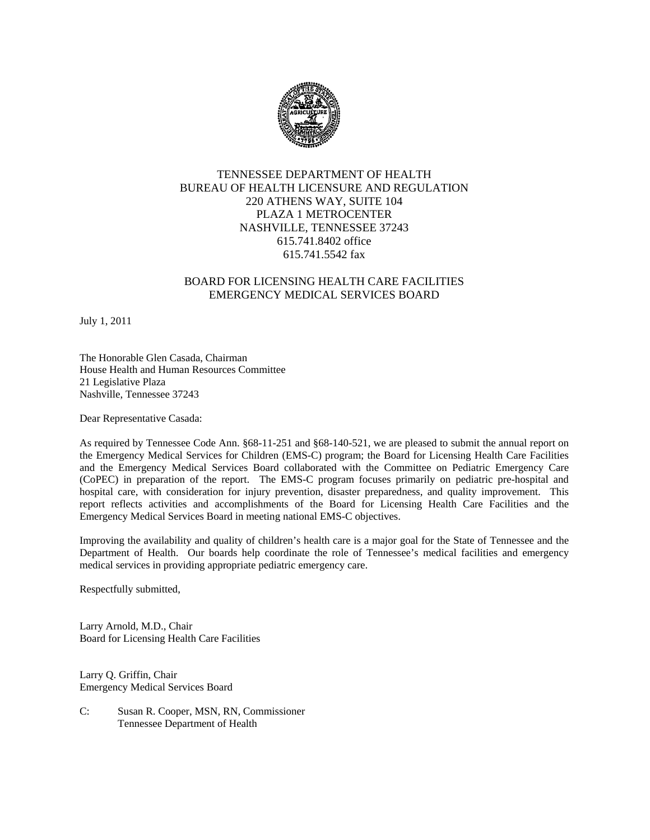

#### TENNESSEE DEPARTMENT OF HEALTH BUREAU OF HEALTH LICENSURE AND REGULATION 220 ATHENS WAY, SUITE 104 PLAZA 1 METROCENTER NASHVILLE, TENNESSEE 37243 615.741.8402 office 615.741.5542 fax

#### BOARD FOR LICENSING HEALTH CARE FACILITIES EMERGENCY MEDICAL SERVICES BOARD

July 1, 2011

The Honorable Glen Casada, Chairman House Health and Human Resources Committee 21 Legislative Plaza Nashville, Tennessee 37243

Dear Representative Casada:

As required by Tennessee Code Ann. §68-11-251 and §68-140-521, we are pleased to submit the annual report on the Emergency Medical Services for Children (EMS-C) program; the Board for Licensing Health Care Facilities and the Emergency Medical Services Board collaborated with the Committee on Pediatric Emergency Care (CoPEC) in preparation of the report. The EMS-C program focuses primarily on pediatric pre-hospital and hospital care, with consideration for injury prevention, disaster preparedness, and quality improvement. This report reflects activities and accomplishments of the Board for Licensing Health Care Facilities and the Emergency Medical Services Board in meeting national EMS-C objectives.

Improving the availability and quality of children's health care is a major goal for the State of Tennessee and the Department of Health. Our boards help coordinate the role of Tennessee's medical facilities and emergency medical services in providing appropriate pediatric emergency care.

Respectfully submitted,

Larry Arnold, M.D., Chair Board for Licensing Health Care Facilities

Larry Q. Griffin, Chair Emergency Medical Services Board

C: Susan R. Cooper, MSN, RN, Commissioner Tennessee Department of Health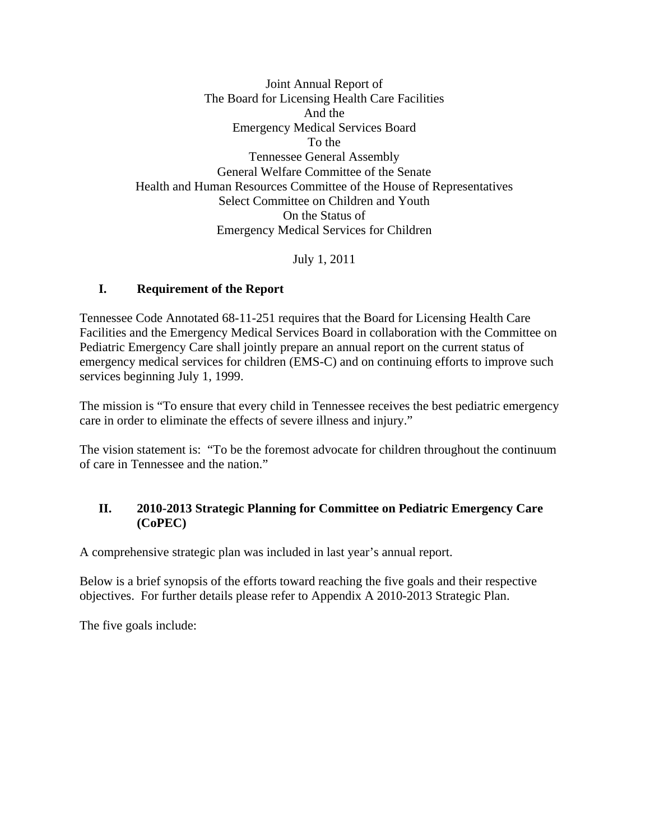Joint Annual Report of The Board for Licensing Health Care Facilities And the Emergency Medical Services Board To the Tennessee General Assembly General Welfare Committee of the Senate Health and Human Resources Committee of the House of Representatives Select Committee on Children and Youth On the Status of Emergency Medical Services for Children

July 1, 2011

## **I. Requirement of the Report**

Tennessee Code Annotated 68-11-251 requires that the Board for Licensing Health Care Facilities and the Emergency Medical Services Board in collaboration with the Committee on Pediatric Emergency Care shall jointly prepare an annual report on the current status of emergency medical services for children (EMS-C) and on continuing efforts to improve such services beginning July 1, 1999.

The mission is "To ensure that every child in Tennessee receives the best pediatric emergency care in order to eliminate the effects of severe illness and injury."

The vision statement is: "To be the foremost advocate for children throughout the continuum of care in Tennessee and the nation."

# **II. 2010-2013 Strategic Planning for Committee on Pediatric Emergency Care (CoPEC)**

A comprehensive strategic plan was included in last year's annual report.

Below is a brief synopsis of the efforts toward reaching the five goals and their respective objectives. For further details please refer to Appendix A 2010-2013 Strategic Plan.

The five goals include: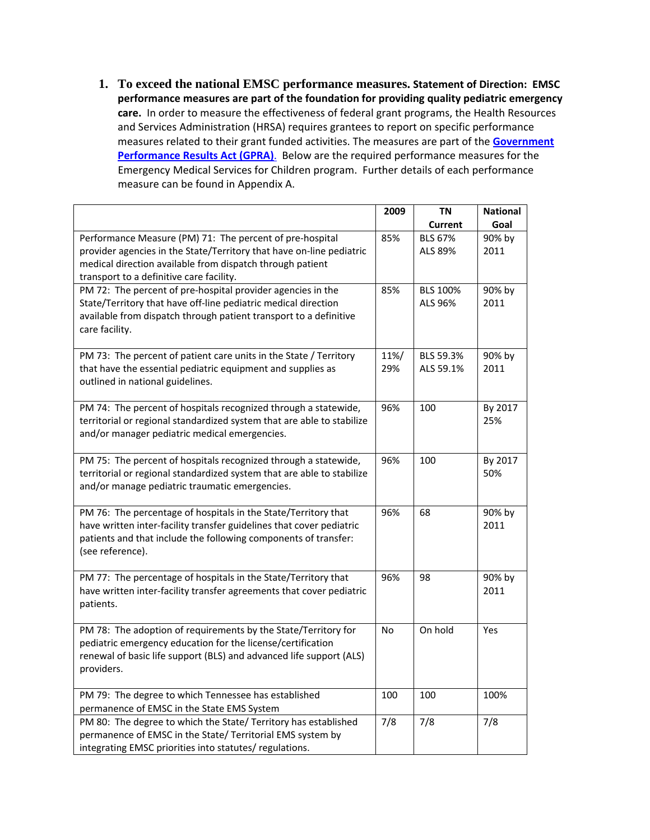**1. To exceed the national EMSC performance measures. Statement of Direction: EMSC performance measures are part of the foundation for providing quality pediatric emergency** care. In order to measure the effectiveness of federal grant programs, the Health Resources and Services Administration (HRSA) requires grantees to report on specific performance measures related to their grant funded activities. The measures are part of the **[Government](http://www.whitehouse.gov/omb/mgmt-gpra/gplaw2m.html) [Performance](http://www.whitehouse.gov/omb/mgmt-gpra/gplaw2m.html) Results Act (GPRA)**. Below are the required performance measures for the Emergency Medical Services for Children program. Further details of each performance measure can be found in Appendix A.

|                                                                        | 2009 | TN              | <b>National</b> |
|------------------------------------------------------------------------|------|-----------------|-----------------|
|                                                                        |      | <b>Current</b>  | Goal            |
| Performance Measure (PM) 71: The percent of pre-hospital               | 85%  | <b>BLS 67%</b>  | 90% by          |
| provider agencies in the State/Territory that have on-line pediatric   |      | ALS 89%         | 2011            |
| medical direction available from dispatch through patient              |      |                 |                 |
| transport to a definitive care facility.                               |      |                 |                 |
| PM 72: The percent of pre-hospital provider agencies in the            | 85%  | <b>BLS 100%</b> | 90% by          |
| State/Territory that have off-line pediatric medical direction         |      | ALS 96%         | 2011            |
| available from dispatch through patient transport to a definitive      |      |                 |                 |
| care facility.                                                         |      |                 |                 |
| PM 73: The percent of patient care units in the State / Territory      | 11%/ | BLS 59.3%       | 90% by          |
| that have the essential pediatric equipment and supplies as            | 29%  | ALS 59.1%       | 2011            |
| outlined in national guidelines.                                       |      |                 |                 |
|                                                                        |      |                 |                 |
| PM 74: The percent of hospitals recognized through a statewide,        | 96%  | 100             | By 2017         |
| territorial or regional standardized system that are able to stabilize |      |                 | 25%             |
| and/or manager pediatric medical emergencies.                          |      |                 |                 |
|                                                                        |      |                 |                 |
| PM 75: The percent of hospitals recognized through a statewide,        | 96%  | 100             | By 2017         |
| territorial or regional standardized system that are able to stabilize |      |                 | 50%             |
| and/or manage pediatric traumatic emergencies.                         |      |                 |                 |
| PM 76: The percentage of hospitals in the State/Territory that         | 96%  | 68              | 90% by          |
| have written inter-facility transfer guidelines that cover pediatric   |      |                 | 2011            |
| patients and that include the following components of transfer:        |      |                 |                 |
| (see reference).                                                       |      |                 |                 |
|                                                                        |      |                 |                 |
| PM 77: The percentage of hospitals in the State/Territory that         | 96%  | 98              | 90% by          |
| have written inter-facility transfer agreements that cover pediatric   |      |                 | 2011            |
| patients.                                                              |      |                 |                 |
| PM 78: The adoption of requirements by the State/Territory for         | No   | On hold         | Yes             |
| pediatric emergency education for the license/certification            |      |                 |                 |
| renewal of basic life support (BLS) and advanced life support (ALS)    |      |                 |                 |
| providers.                                                             |      |                 |                 |
|                                                                        |      |                 |                 |
| PM 79: The degree to which Tennessee has established                   | 100  | 100             | 100%            |
| permanence of EMSC in the State EMS System                             |      |                 |                 |
| PM 80: The degree to which the State/ Territory has established        | 7/8  | 7/8             | 7/8             |
| permanence of EMSC in the State/ Territorial EMS system by             |      |                 |                 |
| integrating EMSC priorities into statutes/ regulations.                |      |                 |                 |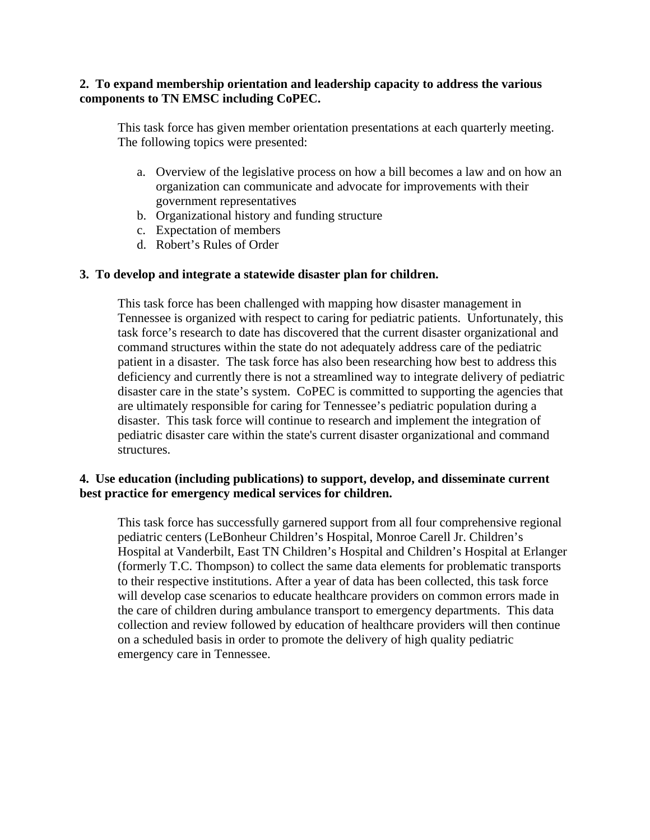## **2. To expand membership orientation and leadership capacity to address the various components to TN EMSC including CoPEC.**

This task force has given member orientation presentations at each quarterly meeting. The following topics were presented:

- a. Overview of the legislative process on how a bill becomes a law and on how an organization can communicate and advocate for improvements with their government representatives
- b. Organizational history and funding structure
- c. Expectation of members
- d. Robert's Rules of Order

## **3. To develop and integrate a statewide disaster plan for children.**

This task force has been challenged with mapping how disaster management in Tennessee is organized with respect to caring for pediatric patients. Unfortunately, this task force's research to date has discovered that the current disaster organizational and command structures within the state do not adequately address care of the pediatric patient in a disaster. The task force has also been researching how best to address this deficiency and currently there is not a streamlined way to integrate delivery of pediatric disaster care in the state's system. CoPEC is committed to supporting the agencies that are ultimately responsible for caring for Tennessee's pediatric population during a disaster. This task force will continue to research and implement the integration of pediatric disaster care within the state's current disaster organizational and command structures.

## **4. Use education (including publications) to support, develop, and disseminate current best practice for emergency medical services for children.**

This task force has successfully garnered support from all four comprehensive regional pediatric centers (LeBonheur Children's Hospital, Monroe Carell Jr. Children's Hospital at Vanderbilt, East TN Children's Hospital and Children's Hospital at Erlanger (formerly T.C. Thompson) to collect the same data elements for problematic transports to their respective institutions. After a year of data has been collected, this task force will develop case scenarios to educate healthcare providers on common errors made in the care of children during ambulance transport to emergency departments. This data collection and review followed by education of healthcare providers will then continue on a scheduled basis in order to promote the delivery of high quality pediatric emergency care in Tennessee.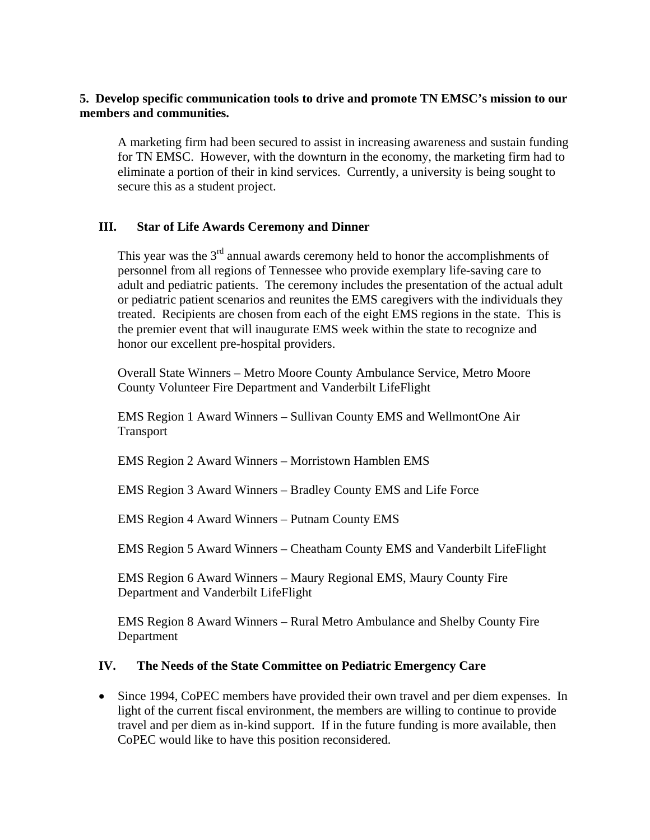## **5. Develop specific communication tools to drive and promote TN EMSC's mission to our members and communities.**

A marketing firm had been secured to assist in increasing awareness and sustain funding for TN EMSC. However, with the downturn in the economy, the marketing firm had to eliminate a portion of their in kind services. Currently, a university is being sought to secure this as a student project.

## **III. Star of Life Awards Ceremony and Dinner**

This year was the  $3<sup>rd</sup>$  annual awards ceremony held to honor the accomplishments of personnel from all regions of Tennessee who provide exemplary life-saving care to adult and pediatric patients. The ceremony includes the presentation of the actual adult or pediatric patient scenarios and reunites the EMS caregivers with the individuals they treated. Recipients are chosen from each of the eight EMS regions in the state. This is the premier event that will inaugurate EMS week within the state to recognize and honor our excellent pre-hospital providers.

Overall State Winners – Metro Moore County Ambulance Service, Metro Moore County Volunteer Fire Department and Vanderbilt LifeFlight

EMS Region 1 Award Winners – Sullivan County EMS and WellmontOne Air Transport

EMS Region 2 Award Winners – Morristown Hamblen EMS

EMS Region 3 Award Winners – Bradley County EMS and Life Force

EMS Region 4 Award Winners – Putnam County EMS

EMS Region 5 Award Winners – Cheatham County EMS and Vanderbilt LifeFlight

EMS Region 6 Award Winners – Maury Regional EMS, Maury County Fire Department and Vanderbilt LifeFlight

EMS Region 8 Award Winners – Rural Metro Ambulance and Shelby County Fire Department

#### **IV. The Needs of the State Committee on Pediatric Emergency Care**

• Since 1994, CoPEC members have provided their own travel and per diem expenses. In light of the current fiscal environment, the members are willing to continue to provide travel and per diem as in-kind support. If in the future funding is more available, then CoPEC would like to have this position reconsidered.